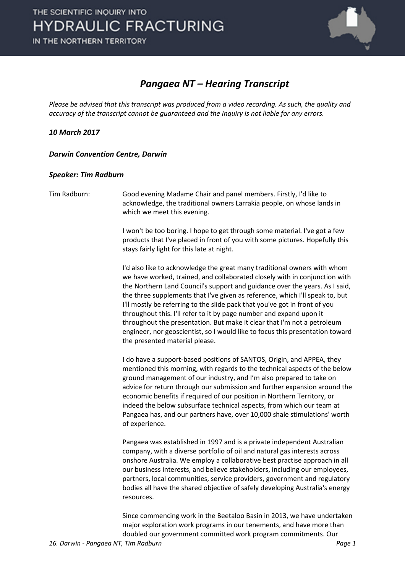

#### *Pangaea NT – Hearing Transcript*

*Please be advised that this transcript was produced from a video recording. As such, the quality and accuracy of the transcript cannot be guaranteed and the Inquiry is not liable for any errors.*

*10 March 2017* 

*Darwin Convention Centre, Darwin* 

#### *Speaker: Tim Radburn*

Tim Radburn: Good evening Madame Chair and panel members. Firstly, I'd like to acknowledge, the traditional owners Larrakia people, on whose lands in which we meet this evening.

> I won't be too boring. I hope to get through some material. I've got a few products that I've placed in front of you with some pictures. Hopefully this stays fairly light for this late at night.

I'd also like to acknowledge the great many traditional owners with whom we have worked, trained, and collaborated closely with in conjunction with the Northern Land Council's support and guidance over the years. As I said, the three supplements that I've given as reference, which I'll speak to, but I'll mostly be referring to the slide pack that you've got in front of you throughout this. I'll refer to it by page number and expand upon it throughout the presentation. But make it clear that I'm not a petroleum engineer, nor geoscientist, so I would like to focus this presentation toward the presented material please.

I do have a support-based positions of SANTOS, Origin, and APPEA, they mentioned this morning, with regards to the technical aspects of the below ground management of our industry, and I'm also prepared to take on advice for return through our submission and further expansion around the economic benefits if required of our position in Northern Territory, or indeed the below subsurface technical aspects, from which our team at Pangaea has, and our partners have, over 10,000 shale stimulations' worth of experience.

Pangaea was established in 1997 and is a private independent Australian company, with a diverse portfolio of oil and natural gas interests across onshore Australia. We employ a collaborative best practise approach in all our business interests, and believe stakeholders, including our employees, partners, local communities, service providers, government and regulatory bodies all have the shared objective of safely developing Australia's energy resources.

Since commencing work in the Beetaloo Basin in 2013, we have undertaken major exploration work programs in our tenements, and have more than doubled our government committed work program commitments. Our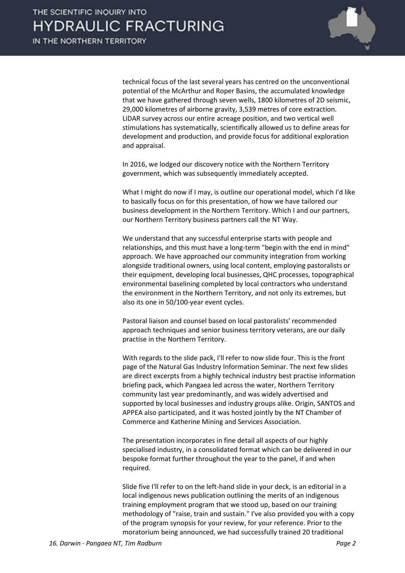

technical focus of the last several years has centred on the unconventional potential of the McArthur and Roper Basins, the accumulated knowledge that we have gathered through seven wells, 1800 kilometres of 2D seismic, 29,000 kilometres of airborne gravity, 3,539 metres of core extraction. LiDAR survey across our entire acreage position, and two vertical well stimulations has systematically, scientifically allowed us to define areas for development and production, and provide focus for additional exploration and appraisal.

In 2016, we lodged our discovery notice with the Northern Territory government, which was subsequently immediately accepted.

What I might do now if I may, is outline our operational model, which I'd like to basically focus on for this presentation, of how we have tailored our business development in the Northern Territory. Which I and our partners, our Northern Territory business partners call the NT Way.

We understand that any successful enterprise starts with people and relationships, and this must have a long-term "begin with the end in mind" approach. We have approached our community integration from working alongside traditional owners, using local content, employing pastoralists or their equipment, developing local businesses, QHC processes, topographical environmental baselining completed by local contractors who understand the environment in the Northern Territory, and not only its extremes, but also its one in 50/100-year event cycles.

Pastoral liaison and counsel based on local pastoralists' recommended approach techniques and senior business territory veterans, are our daily practise in the Northern Territory.

With regards to the slide pack, I'll refer to now slide four. This is the front page of the Natural Gas Industry Information Seminar. The next few slides are direct excerpts from a highly technical industry best practise information briefing pack, which Pangaea led across the water, Northern Territory community last year predominantly, and was widely advertised and supported by local businesses and industry groups alike. Origin, SANTOS and APPEA also participated, and it was hosted jointly by the NT Chamber of Commerce and Katherine Mining and Services Association.

The presentation incorporates in fine detail all aspects of our highly specialised industry, in a consolidated format which can be delivered in our bespoke format further throughout the year to the panel, if and when required.

Slide five I'll refer to on the left-hand slide in your deck, is an editorial in a local indigenous news publication outlining the merits of an indigenous training employment program that we stood up, based on our training methodology of "raise, train and sustain." I've also provided you with a copy of the program synopsis for your review, for your reference. Prior to the moratorium being announced, we had successfully trained 20 traditional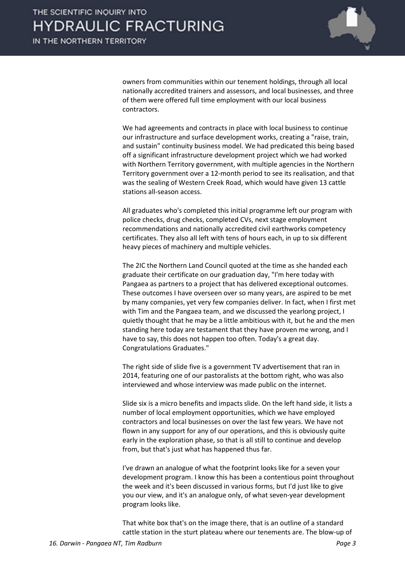

owners from communities within our tenement holdings, through all local nationally accredited trainers and assessors, and local businesses, and three of them were offered full time employment with our local business contractors.

We had agreements and contracts in place with local business to continue our infrastructure and surface development works, creating a "raise, train, and sustain" continuity business model. We had predicated this being based off a significant infrastructure development project which we had worked with Northern Territory government, with multiple agencies in the Northern Territory government over a 12-month period to see its realisation, and that was the sealing of Western Creek Road, which would have given 13 cattle stations all-season access.

All graduates who's completed this initial programme left our program with police checks, drug checks, completed CVs, next stage employment recommendations and nationally accredited civil earthworks competency certificates. They also all left with tens of hours each, in up to six different heavy pieces of machinery and multiple vehicles.

The 2IC the Northern Land Council quoted at the time as she handed each graduate their certificate on our graduation day, "I'm here today with Pangaea as partners to a project that has delivered exceptional outcomes. These outcomes I have overseen over so many years, are aspired to be met by many companies, yet very few companies deliver. In fact, when I first met with Tim and the Pangaea team, and we discussed the yearlong project, I quietly thought that he may be a little ambitious with it, but he and the men standing here today are testament that they have proven me wrong, and I have to say, this does not happen too often. Today's a great day. Congratulations Graduates."

The right side of slide five is a government TV advertisement that ran in 2014, featuring one of our pastoralists at the bottom right, who was also interviewed and whose interview was made public on the internet.

Slide six is a micro benefits and impacts slide. On the left hand side, it lists a number of local employment opportunities, which we have employed contractors and local businesses on over the last few years. We have not flown in any support for any of our operations, and this is obviously quite early in the exploration phase, so that is all still to continue and develop from, but that's just what has happened thus far.

I've drawn an analogue of what the footprint looks like for a seven your development program. I know this has been a contentious point throughout the week and it's been discussed in various forms, but I'd just like to give you our view, and it's an analogue only, of what seven-year development program looks like.

That white box that's on the image there, that is an outline of a standard cattle station in the sturt plateau where our tenements are. The blow-up of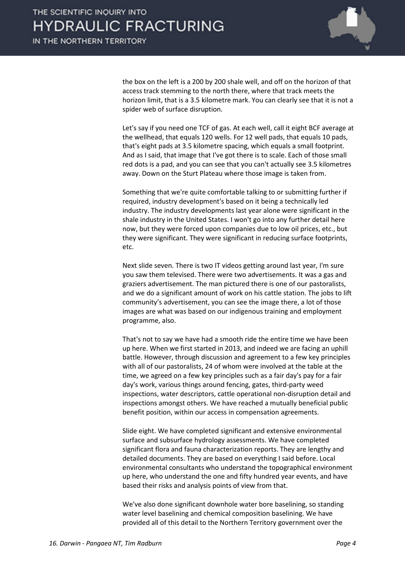

the box on the left is a 200 by 200 shale well, and off on the horizon of that access track stemming to the north there, where that track meets the horizon limit, that is a 3.5 kilometre mark. You can clearly see that it is not a spider web of surface disruption.

Let's say if you need one TCF of gas. At each well, call it eight BCF average at the wellhead, that equals 120 wells. For 12 well pads, that equals 10 pads, that's eight pads at 3.5 kilometre spacing, which equals a small footprint. And as I said, that image that I've got there is to scale. Each of those small red dots is a pad, and you can see that you can't actually see 3.5 kilometres away. Down on the Sturt Plateau where those image is taken from.

Something that we're quite comfortable talking to or submitting further if required, industry development's based on it being a technically led industry. The industry developments last year alone were significant in the shale industry in the United States. I won't go into any further detail here now, but they were forced upon companies due to low oil prices, etc., but they were significant. They were significant in reducing surface footprints, etc.

Next slide seven. There is two IT videos getting around last year, I'm sure you saw them televised. There were two advertisements. It was a gas and graziers advertisement. The man pictured there is one of our pastoralists, and we do a significant amount of work on his cattle station. The jobs to lift community's advertisement, you can see the image there, a lot of those images are what was based on our indigenous training and employment programme, also.

That's not to say we have had a smooth ride the entire time we have been up here. When we first started in 2013, and indeed we are facing an uphill battle. However, through discussion and agreement to a few key principles with all of our pastoralists, 24 of whom were involved at the table at the time, we agreed on a few key principles such as a fair day's pay for a fair day's work, various things around fencing, gates, third-party weed inspections, water descriptors, cattle operational non-disruption detail and inspections amongst others. We have reached a mutually beneficial public benefit position, within our access in compensation agreements.

Slide eight. We have completed significant and extensive environmental surface and subsurface hydrology assessments. We have completed significant flora and fauna characterization reports. They are lengthy and detailed documents. They are based on everything I said before. Local environmental consultants who understand the topographical environment up here, who understand the one and fifty hundred year events, and have based their risks and analysis points of view from that.

We've also done significant downhole water bore baselining, so standing water level baselining and chemical composition baselining. We have provided all of this detail to the Northern Territory government over the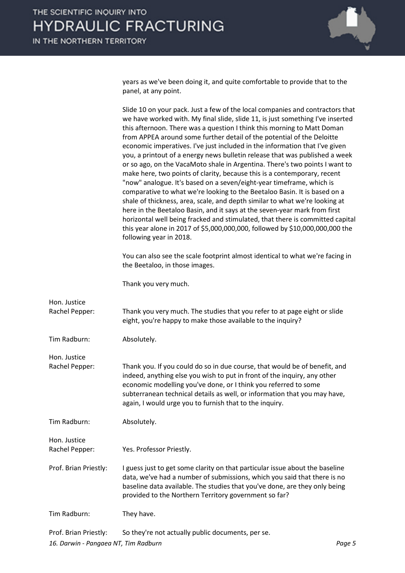

years as we've been doing it, and quite comfortable to provide that to the panel, at any point.

|                                | Slide 10 on your pack. Just a few of the local companies and contractors that<br>we have worked with. My final slide, slide 11, is just something I've inserted<br>this afternoon. There was a question I think this morning to Matt Doman<br>from APPEA around some further detail of the potential of the Deloitte<br>economic imperatives. I've just included in the information that I've given<br>you, a printout of a energy news bulletin release that was published a week<br>or so ago, on the VacaMoto shale in Argentina. There's two points I want to<br>make here, two points of clarity, because this is a contemporary, recent<br>"now" analogue. It's based on a seven/eight-year timeframe, which is<br>comparative to what we're looking to the Beetaloo Basin. It is based on a<br>shale of thickness, area, scale, and depth similar to what we're looking at<br>here in the Beetaloo Basin, and it says at the seven-year mark from first<br>horizontal well being fracked and stimulated, that there is committed capital<br>this year alone in 2017 of \$5,000,000,000, followed by \$10,000,000,000 the<br>following year in 2018.<br>You can also see the scale footprint almost identical to what we're facing in<br>the Beetaloo, in those images. |
|--------------------------------|-------------------------------------------------------------------------------------------------------------------------------------------------------------------------------------------------------------------------------------------------------------------------------------------------------------------------------------------------------------------------------------------------------------------------------------------------------------------------------------------------------------------------------------------------------------------------------------------------------------------------------------------------------------------------------------------------------------------------------------------------------------------------------------------------------------------------------------------------------------------------------------------------------------------------------------------------------------------------------------------------------------------------------------------------------------------------------------------------------------------------------------------------------------------------------------------------------------------------------------------------------------------------------|
|                                | Thank you very much.                                                                                                                                                                                                                                                                                                                                                                                                                                                                                                                                                                                                                                                                                                                                                                                                                                                                                                                                                                                                                                                                                                                                                                                                                                                          |
| Hon. Justice<br>Rachel Pepper: | Thank you very much. The studies that you refer to at page eight or slide<br>eight, you're happy to make those available to the inquiry?                                                                                                                                                                                                                                                                                                                                                                                                                                                                                                                                                                                                                                                                                                                                                                                                                                                                                                                                                                                                                                                                                                                                      |
| Tim Radburn:                   | Absolutely.                                                                                                                                                                                                                                                                                                                                                                                                                                                                                                                                                                                                                                                                                                                                                                                                                                                                                                                                                                                                                                                                                                                                                                                                                                                                   |
| Hon. Justice<br>Rachel Pepper: | Thank you. If you could do so in due course, that would be of benefit, and<br>indeed, anything else you wish to put in front of the inquiry, any other<br>economic modelling you've done, or I think you referred to some<br>subterranean technical details as well, or information that you may have,<br>again, I would urge you to furnish that to the inquiry.                                                                                                                                                                                                                                                                                                                                                                                                                                                                                                                                                                                                                                                                                                                                                                                                                                                                                                             |
| Tim Radburn:                   | Absolutely.                                                                                                                                                                                                                                                                                                                                                                                                                                                                                                                                                                                                                                                                                                                                                                                                                                                                                                                                                                                                                                                                                                                                                                                                                                                                   |
| Hon. Justice<br>Rachel Pepper: | Yes. Professor Priestly.                                                                                                                                                                                                                                                                                                                                                                                                                                                                                                                                                                                                                                                                                                                                                                                                                                                                                                                                                                                                                                                                                                                                                                                                                                                      |
| Prof. Brian Priestly:          | I guess just to get some clarity on that particular issue about the baseline<br>data, we've had a number of submissions, which you said that there is no<br>baseline data available. The studies that you've done, are they only being<br>provided to the Northern Territory government so far?                                                                                                                                                                                                                                                                                                                                                                                                                                                                                                                                                                                                                                                                                                                                                                                                                                                                                                                                                                               |
| Tim Radburn:                   | They have.                                                                                                                                                                                                                                                                                                                                                                                                                                                                                                                                                                                                                                                                                                                                                                                                                                                                                                                                                                                                                                                                                                                                                                                                                                                                    |
|                                |                                                                                                                                                                                                                                                                                                                                                                                                                                                                                                                                                                                                                                                                                                                                                                                                                                                                                                                                                                                                                                                                                                                                                                                                                                                                               |

*16. Darwin - Pangaea NT, Tim Radburn Page 5* Prof. Brian Priestly: So they're not actually public documents, per se.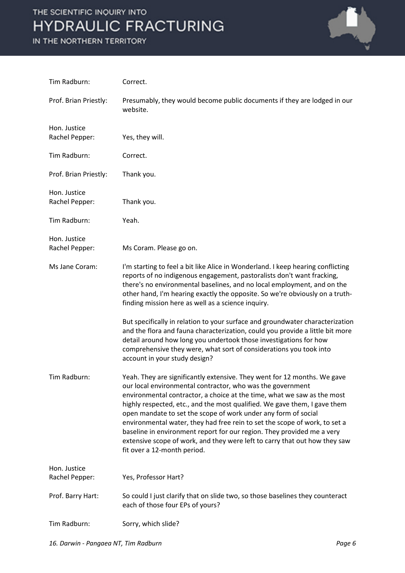

| Tim Radburn:                   | Correct.                                                                                                                                                                                                                                                                                                                                                                                                                                                                                                                                                                                                                              |
|--------------------------------|---------------------------------------------------------------------------------------------------------------------------------------------------------------------------------------------------------------------------------------------------------------------------------------------------------------------------------------------------------------------------------------------------------------------------------------------------------------------------------------------------------------------------------------------------------------------------------------------------------------------------------------|
| Prof. Brian Priestly:          | Presumably, they would become public documents if they are lodged in our<br>website.                                                                                                                                                                                                                                                                                                                                                                                                                                                                                                                                                  |
| Hon. Justice<br>Rachel Pepper: | Yes, they will.                                                                                                                                                                                                                                                                                                                                                                                                                                                                                                                                                                                                                       |
| Tim Radburn:                   | Correct.                                                                                                                                                                                                                                                                                                                                                                                                                                                                                                                                                                                                                              |
| Prof. Brian Priestly:          | Thank you.                                                                                                                                                                                                                                                                                                                                                                                                                                                                                                                                                                                                                            |
| Hon. Justice<br>Rachel Pepper: | Thank you.                                                                                                                                                                                                                                                                                                                                                                                                                                                                                                                                                                                                                            |
| Tim Radburn:                   | Yeah.                                                                                                                                                                                                                                                                                                                                                                                                                                                                                                                                                                                                                                 |
| Hon. Justice<br>Rachel Pepper: | Ms Coram. Please go on.                                                                                                                                                                                                                                                                                                                                                                                                                                                                                                                                                                                                               |
| Ms Jane Coram:                 | I'm starting to feel a bit like Alice in Wonderland. I keep hearing conflicting<br>reports of no indigenous engagement, pastoralists don't want fracking,<br>there's no environmental baselines, and no local employment, and on the<br>other hand, I'm hearing exactly the opposite. So we're obviously on a truth-<br>finding mission here as well as a science inquiry.                                                                                                                                                                                                                                                            |
|                                | But specifically in relation to your surface and groundwater characterization<br>and the flora and fauna characterization, could you provide a little bit more<br>detail around how long you undertook those investigations for how<br>comprehensive they were, what sort of considerations you took into<br>account in your study design?                                                                                                                                                                                                                                                                                            |
| Tim Radburn:                   | Yeah. They are significantly extensive. They went for 12 months. We gave<br>our local environmental contractor, who was the government<br>environmental contractor, a choice at the time, what we saw as the most<br>highly respected, etc., and the most qualified. We gave them, I gave them<br>open mandate to set the scope of work under any form of social<br>environmental water, they had free rein to set the scope of work, to set a<br>baseline in environment report for our region. They provided me a very<br>extensive scope of work, and they were left to carry that out how they saw<br>fit over a 12-month period. |
| Hon. Justice<br>Rachel Pepper: | Yes, Professor Hart?                                                                                                                                                                                                                                                                                                                                                                                                                                                                                                                                                                                                                  |
|                                |                                                                                                                                                                                                                                                                                                                                                                                                                                                                                                                                                                                                                                       |
| Prof. Barry Hart:              | So could I just clarify that on slide two, so those baselines they counteract<br>each of those four EPs of yours?                                                                                                                                                                                                                                                                                                                                                                                                                                                                                                                     |
| Tim Radburn:                   | Sorry, which slide?                                                                                                                                                                                                                                                                                                                                                                                                                                                                                                                                                                                                                   |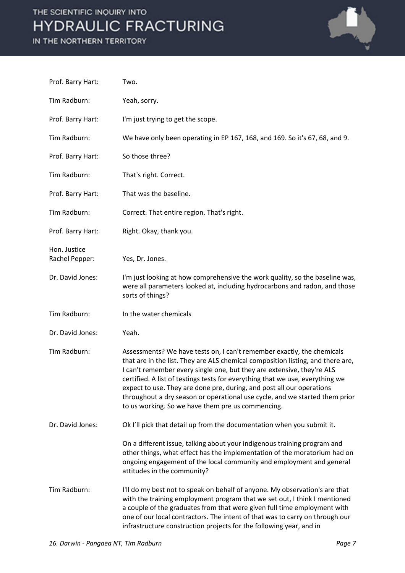

| Prof. Barry Hart:              | Two.                                                                                                                                                                                                                                                                                                                                                                                                                                                                                                                              |
|--------------------------------|-----------------------------------------------------------------------------------------------------------------------------------------------------------------------------------------------------------------------------------------------------------------------------------------------------------------------------------------------------------------------------------------------------------------------------------------------------------------------------------------------------------------------------------|
| Tim Radburn:                   | Yeah, sorry.                                                                                                                                                                                                                                                                                                                                                                                                                                                                                                                      |
| Prof. Barry Hart:              | I'm just trying to get the scope.                                                                                                                                                                                                                                                                                                                                                                                                                                                                                                 |
| Tim Radburn:                   | We have only been operating in EP 167, 168, and 169. So it's 67, 68, and 9.                                                                                                                                                                                                                                                                                                                                                                                                                                                       |
| Prof. Barry Hart:              | So those three?                                                                                                                                                                                                                                                                                                                                                                                                                                                                                                                   |
| Tim Radburn:                   | That's right. Correct.                                                                                                                                                                                                                                                                                                                                                                                                                                                                                                            |
| Prof. Barry Hart:              | That was the baseline.                                                                                                                                                                                                                                                                                                                                                                                                                                                                                                            |
| Tim Radburn:                   | Correct. That entire region. That's right.                                                                                                                                                                                                                                                                                                                                                                                                                                                                                        |
| Prof. Barry Hart:              | Right. Okay, thank you.                                                                                                                                                                                                                                                                                                                                                                                                                                                                                                           |
| Hon. Justice<br>Rachel Pepper: | Yes, Dr. Jones.                                                                                                                                                                                                                                                                                                                                                                                                                                                                                                                   |
| Dr. David Jones:               | I'm just looking at how comprehensive the work quality, so the baseline was,<br>were all parameters looked at, including hydrocarbons and radon, and those<br>sorts of things?                                                                                                                                                                                                                                                                                                                                                    |
|                                |                                                                                                                                                                                                                                                                                                                                                                                                                                                                                                                                   |
| Tim Radburn:                   | In the water chemicals                                                                                                                                                                                                                                                                                                                                                                                                                                                                                                            |
| Dr. David Jones:               | Yeah.                                                                                                                                                                                                                                                                                                                                                                                                                                                                                                                             |
| Tim Radburn:                   | Assessments? We have tests on, I can't remember exactly, the chemicals<br>that are in the list. They are ALS chemical composition listing, and there are,<br>I can't remember every single one, but they are extensive, they're ALS<br>certified. A list of testings tests for everything that we use, everything we<br>expect to use. They are done pre, during, and post all our operations<br>throughout a dry season or operational use cycle, and we started them prior<br>to us working. So we have them pre us commencing. |
| Dr. David Jones:               | Ok I'll pick that detail up from the documentation when you submit it.                                                                                                                                                                                                                                                                                                                                                                                                                                                            |
|                                | On a different issue, talking about your indigenous training program and<br>other things, what effect has the implementation of the moratorium had on<br>ongoing engagement of the local community and employment and general<br>attitudes in the community?                                                                                                                                                                                                                                                                      |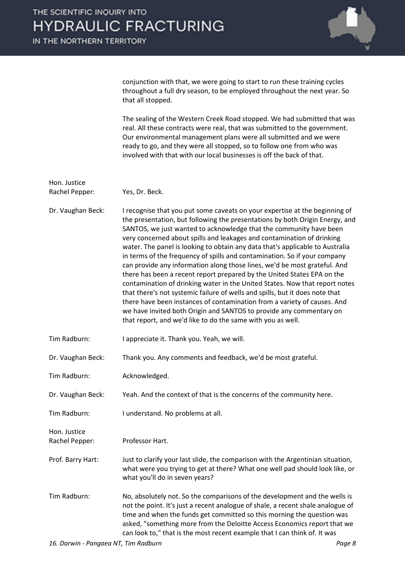IN THE NORTHERN TERRITORY



conjunction with that, we were going to start to run these training cycles throughout a full dry season, to be employed throughout the next year. So that all stopped.

The sealing of the Western Creek Road stopped. We had submitted that was real. All these contracts were real, that was submitted to the government. Our environmental management plans were all submitted and we were ready to go, and they were all stopped, so to follow one from who was involved with that with our local businesses is off the back of that.

| Hon. Justice                   |                                                                                                                                                                                                                                                                                                                                                                                                                                                                                                                                                                                                                                                                                                                                                                                                                                                                                                                                                                                                                    |
|--------------------------------|--------------------------------------------------------------------------------------------------------------------------------------------------------------------------------------------------------------------------------------------------------------------------------------------------------------------------------------------------------------------------------------------------------------------------------------------------------------------------------------------------------------------------------------------------------------------------------------------------------------------------------------------------------------------------------------------------------------------------------------------------------------------------------------------------------------------------------------------------------------------------------------------------------------------------------------------------------------------------------------------------------------------|
| Rachel Pepper:                 | Yes, Dr. Beck.                                                                                                                                                                                                                                                                                                                                                                                                                                                                                                                                                                                                                                                                                                                                                                                                                                                                                                                                                                                                     |
| Dr. Vaughan Beck:              | I recognise that you put some caveats on your expertise at the beginning of<br>the presentation, but following the presentations by both Origin Energy, and<br>SANTOS, we just wanted to acknowledge that the community have been<br>very concerned about spills and leakages and contamination of drinking<br>water. The panel is looking to obtain any data that's applicable to Australia<br>in terms of the frequency of spills and contamination. So if your company<br>can provide any information along those lines, we'd be most grateful. And<br>there has been a recent report prepared by the United States EPA on the<br>contamination of drinking water in the United States. Now that report notes<br>that there's not systemic failure of wells and spills, but it does note that<br>there have been instances of contamination from a variety of causes. And<br>we have invited both Origin and SANTOS to provide any commentary on<br>that report, and we'd like to do the same with you as well. |
| Tim Radburn:                   | I appreciate it. Thank you. Yeah, we will.                                                                                                                                                                                                                                                                                                                                                                                                                                                                                                                                                                                                                                                                                                                                                                                                                                                                                                                                                                         |
| Dr. Vaughan Beck:              | Thank you. Any comments and feedback, we'd be most grateful.                                                                                                                                                                                                                                                                                                                                                                                                                                                                                                                                                                                                                                                                                                                                                                                                                                                                                                                                                       |
| Tim Radburn:                   | Acknowledged.                                                                                                                                                                                                                                                                                                                                                                                                                                                                                                                                                                                                                                                                                                                                                                                                                                                                                                                                                                                                      |
| Dr. Vaughan Beck:              | Yeah. And the context of that is the concerns of the community here.                                                                                                                                                                                                                                                                                                                                                                                                                                                                                                                                                                                                                                                                                                                                                                                                                                                                                                                                               |
| Tim Radburn:                   | I understand. No problems at all.                                                                                                                                                                                                                                                                                                                                                                                                                                                                                                                                                                                                                                                                                                                                                                                                                                                                                                                                                                                  |
| Hon. Justice<br>Rachel Pepper: | Professor Hart.                                                                                                                                                                                                                                                                                                                                                                                                                                                                                                                                                                                                                                                                                                                                                                                                                                                                                                                                                                                                    |
| Prof. Barry Hart:              | Just to clarify your last slide, the comparison with the Argentinian situation,<br>what were you trying to get at there? What one well pad should look like, or<br>what you'll do in seven years?                                                                                                                                                                                                                                                                                                                                                                                                                                                                                                                                                                                                                                                                                                                                                                                                                  |
| Tim Radburn:                   | No, absolutely not. So the comparisons of the development and the wells is<br>not the point. It's just a recent analogue of shale, a recent shale analogue of<br>time and when the funds get committed so this morning the question was<br>asked, "something more from the Deloitte Access Economics report that we<br>can look to," that is the most recent example that I can think of. It was                                                                                                                                                                                                                                                                                                                                                                                                                                                                                                                                                                                                                   |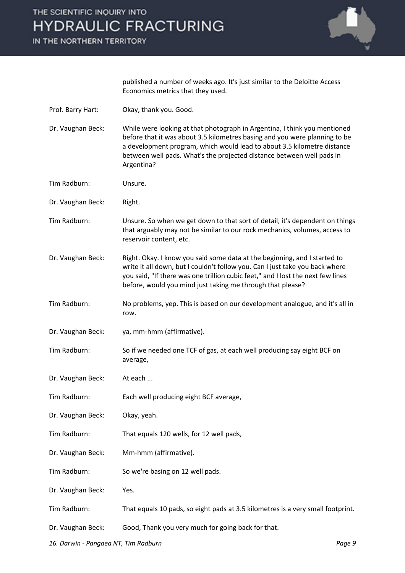IN THE NORTHERN TERRITORY



published a number of weeks ago. It's just similar to the Deloitte Access Economics metrics that they used.

- Prof. Barry Hart: Okay, thank you. Good.
- Dr. Vaughan Beck: While were looking at that photograph in Argentina, I think you mentioned before that it was about 3.5 kilometres basing and you were planning to be a development program, which would lead to about 3.5 kilometre distance between well pads. What's the projected distance between well pads in Argentina?
- Tim Radburn: Unsure.
- Dr. Vaughan Beck: Right.
- Tim Radburn: Unsure. So when we get down to that sort of detail, it's dependent on things that arguably may not be similar to our rock mechanics, volumes, access to reservoir content, etc.
- Dr. Vaughan Beck: Right. Okay. I know you said some data at the beginning, and I started to write it all down, but I couldn't follow you. Can I just take you back where you said, "If there was one trillion cubic feet," and I lost the next few lines before, would you mind just taking me through that please?
- Tim Radburn: No problems, yep. This is based on our development analogue, and it's all in row.
- Dr. Vaughan Beck: ya, mm-hmm (affirmative).
- Tim Radburn: So if we needed one TCF of gas, at each well producing say eight BCF on average,
- Dr. Vaughan Beck: At each ...
- Tim Radburn: Each well producing eight BCF average,
- Dr. Vaughan Beck: Okay, yeah.
- Tim Radburn: That equals 120 wells, for 12 well pads,
- Dr. Vaughan Beck: Mm-hmm (affirmative).
- Tim Radburn: So we're basing on 12 well pads.
- Dr. Vaughan Beck: Yes.
- Tim Radburn: That equals 10 pads, so eight pads at 3.5 kilometres is a very small footprint.
- Dr. Vaughan Beck: Good, Thank you very much for going back for that.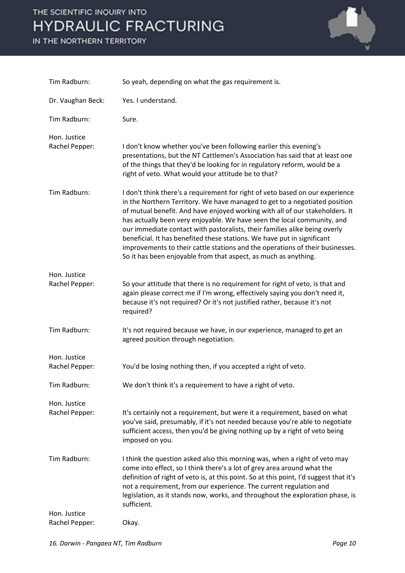

| Tim Radburn:                   | So yeah, depending on what the gas requirement is.                                                                                                                                                                                                                                                                                                                                                                                                                                                                                                                                                                                  |
|--------------------------------|-------------------------------------------------------------------------------------------------------------------------------------------------------------------------------------------------------------------------------------------------------------------------------------------------------------------------------------------------------------------------------------------------------------------------------------------------------------------------------------------------------------------------------------------------------------------------------------------------------------------------------------|
| Dr. Vaughan Beck:              | Yes. I understand.                                                                                                                                                                                                                                                                                                                                                                                                                                                                                                                                                                                                                  |
| Tim Radburn:                   | Sure.                                                                                                                                                                                                                                                                                                                                                                                                                                                                                                                                                                                                                               |
| Hon. Justice<br>Rachel Pepper: | I don't know whether you've been following earlier this evening's<br>presentations, but the NT Cattlemen's Association has said that at least one<br>of the things that they'd be looking for in regulatory reform, would be a<br>right of veto. What would your attitude be to that?                                                                                                                                                                                                                                                                                                                                               |
| Tim Radburn:                   | I don't think there's a requirement for right of veto based on our experience<br>in the Northern Territory. We have managed to get to a negotiated position<br>of mutual benefit. And have enjoyed working with all of our stakeholders. It<br>has actually been very enjoyable. We have seen the local community, and<br>our immediate contact with pastoralists, their families alike being overly<br>beneficial. It has benefited these stations. We have put in significant<br>improvements to their cattle stations and the operations of their businesses.<br>So it has been enjoyable from that aspect, as much as anything. |
| Hon. Justice<br>Rachel Pepper: | So your attitude that there is no requirement for right of veto, is that and<br>again please correct me if I'm wrong, effectively saying you don't need it,<br>because it's not required? Or it's not justified rather, because it's not<br>required?                                                                                                                                                                                                                                                                                                                                                                               |
| Tim Radburn:                   | It's not required because we have, in our experience, managed to get an<br>agreed position through negotiation.                                                                                                                                                                                                                                                                                                                                                                                                                                                                                                                     |
| Hon. Justice<br>Rachel Pepper: | You'd be losing nothing then, if you accepted a right of veto.                                                                                                                                                                                                                                                                                                                                                                                                                                                                                                                                                                      |
| Tim Radburn:                   | We don't think it's a requirement to have a right of veto.                                                                                                                                                                                                                                                                                                                                                                                                                                                                                                                                                                          |
| Hon. Justice<br>Rachel Pepper: | It's certainly not a requirement, but were it a requirement, based on what<br>you've said, presumably, if it's not needed because you're able to negotiate<br>sufficient access, then you'd be giving nothing up by a right of veto being<br>imposed on you.                                                                                                                                                                                                                                                                                                                                                                        |
| Tim Radburn:                   | I think the question asked also this morning was, when a right of veto may<br>come into effect, so I think there's a lot of grey area around what the<br>definition of right of veto is, at this point. So at this point, I'd suggest that it's<br>not a requirement, from our experience. The current regulation and<br>legislation, as it stands now, works, and throughout the exploration phase, is<br>sufficient.                                                                                                                                                                                                              |
| Hon. Justice<br>Rachel Pepper: | Okay.                                                                                                                                                                                                                                                                                                                                                                                                                                                                                                                                                                                                                               |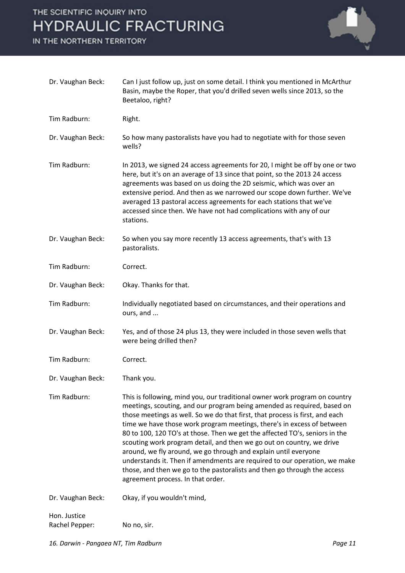

| Dr. Vaughan Beck:              | Can I just follow up, just on some detail. I think you mentioned in McArthur<br>Basin, maybe the Roper, that you'd drilled seven wells since 2013, so the<br>Beetaloo, right?                                                                                                                                                                                                                                                                                                                                                                                                                                                                                                                                                            |
|--------------------------------|------------------------------------------------------------------------------------------------------------------------------------------------------------------------------------------------------------------------------------------------------------------------------------------------------------------------------------------------------------------------------------------------------------------------------------------------------------------------------------------------------------------------------------------------------------------------------------------------------------------------------------------------------------------------------------------------------------------------------------------|
| Tim Radburn:                   | Right.                                                                                                                                                                                                                                                                                                                                                                                                                                                                                                                                                                                                                                                                                                                                   |
| Dr. Vaughan Beck:              | So how many pastoralists have you had to negotiate with for those seven<br>wells?                                                                                                                                                                                                                                                                                                                                                                                                                                                                                                                                                                                                                                                        |
| Tim Radburn:                   | In 2013, we signed 24 access agreements for 20, I might be off by one or two<br>here, but it's on an average of 13 since that point, so the 2013 24 access<br>agreements was based on us doing the 2D seismic, which was over an<br>extensive period. And then as we narrowed our scope down further. We've<br>averaged 13 pastoral access agreements for each stations that we've<br>accessed since then. We have not had complications with any of our<br>stations.                                                                                                                                                                                                                                                                    |
| Dr. Vaughan Beck:              | So when you say more recently 13 access agreements, that's with 13<br>pastoralists.                                                                                                                                                                                                                                                                                                                                                                                                                                                                                                                                                                                                                                                      |
| Tim Radburn:                   | Correct.                                                                                                                                                                                                                                                                                                                                                                                                                                                                                                                                                                                                                                                                                                                                 |
| Dr. Vaughan Beck:              | Okay. Thanks for that.                                                                                                                                                                                                                                                                                                                                                                                                                                                                                                                                                                                                                                                                                                                   |
| Tim Radburn:                   | Individually negotiated based on circumstances, and their operations and<br>ours, and                                                                                                                                                                                                                                                                                                                                                                                                                                                                                                                                                                                                                                                    |
| Dr. Vaughan Beck:              | Yes, and of those 24 plus 13, they were included in those seven wells that<br>were being drilled then?                                                                                                                                                                                                                                                                                                                                                                                                                                                                                                                                                                                                                                   |
| Tim Radburn:                   | Correct.                                                                                                                                                                                                                                                                                                                                                                                                                                                                                                                                                                                                                                                                                                                                 |
| Dr. Vaughan Beck:              | Thank you.                                                                                                                                                                                                                                                                                                                                                                                                                                                                                                                                                                                                                                                                                                                               |
| Tim Radburn:                   | This is following, mind you, our traditional owner work program on country<br>meetings, scouting, and our program being amended as required, based on<br>those meetings as well. So we do that first, that process is first, and each<br>time we have those work program meetings, there's in excess of between<br>80 to 100, 120 TO's at those. Then we get the affected TO's, seniors in the<br>scouting work program detail, and then we go out on country, we drive<br>around, we fly around, we go through and explain until everyone<br>understands it. Then if amendments are required to our operation, we make<br>those, and then we go to the pastoralists and then go through the access<br>agreement process. In that order. |
| Dr. Vaughan Beck:              | Okay, if you wouldn't mind,                                                                                                                                                                                                                                                                                                                                                                                                                                                                                                                                                                                                                                                                                                              |
| Hon. Justice<br>Rachel Pepper: | No no, sir.                                                                                                                                                                                                                                                                                                                                                                                                                                                                                                                                                                                                                                                                                                                              |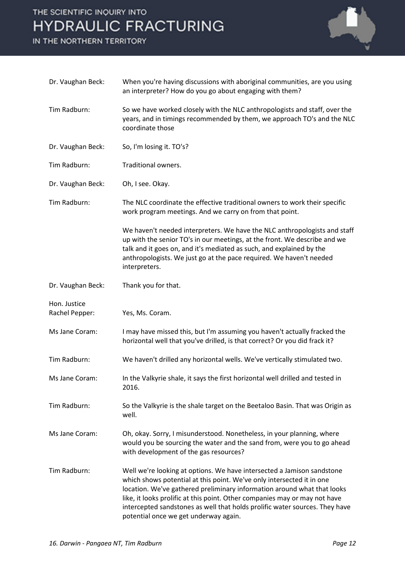

| Dr. Vaughan Beck:              | When you're having discussions with aboriginal communities, are you using<br>an interpreter? How do you go about engaging with them?                                                                                                                                                                                                                                                                                             |
|--------------------------------|----------------------------------------------------------------------------------------------------------------------------------------------------------------------------------------------------------------------------------------------------------------------------------------------------------------------------------------------------------------------------------------------------------------------------------|
| Tim Radburn:                   | So we have worked closely with the NLC anthropologists and staff, over the<br>years, and in timings recommended by them, we approach TO's and the NLC<br>coordinate those                                                                                                                                                                                                                                                        |
| Dr. Vaughan Beck:              | So, I'm losing it. TO's?                                                                                                                                                                                                                                                                                                                                                                                                         |
| Tim Radburn:                   | Traditional owners.                                                                                                                                                                                                                                                                                                                                                                                                              |
| Dr. Vaughan Beck:              | Oh, I see. Okay.                                                                                                                                                                                                                                                                                                                                                                                                                 |
| Tim Radburn:                   | The NLC coordinate the effective traditional owners to work their specific<br>work program meetings. And we carry on from that point.                                                                                                                                                                                                                                                                                            |
|                                | We haven't needed interpreters. We have the NLC anthropologists and staff<br>up with the senior TO's in our meetings, at the front. We describe and we<br>talk and it goes on, and it's mediated as such, and explained by the<br>anthropologists. We just go at the pace required. We haven't needed<br>interpreters.                                                                                                           |
| Dr. Vaughan Beck:              | Thank you for that.                                                                                                                                                                                                                                                                                                                                                                                                              |
| Hon. Justice<br>Rachel Pepper: | Yes, Ms. Coram.                                                                                                                                                                                                                                                                                                                                                                                                                  |
| Ms Jane Coram:                 | I may have missed this, but I'm assuming you haven't actually fracked the<br>horizontal well that you've drilled, is that correct? Or you did frack it?                                                                                                                                                                                                                                                                          |
| Tim Radburn:                   | We haven't drilled any horizontal wells. We've vertically stimulated two.                                                                                                                                                                                                                                                                                                                                                        |
| Ms Jane Coram:                 | In the Valkyrie shale, it says the first horizontal well drilled and tested in<br>2016.                                                                                                                                                                                                                                                                                                                                          |
| Tim Radburn:                   | So the Valkyrie is the shale target on the Beetaloo Basin. That was Origin as<br>well.                                                                                                                                                                                                                                                                                                                                           |
| Ms Jane Coram:                 | Oh, okay. Sorry, I misunderstood. Nonetheless, in your planning, where<br>would you be sourcing the water and the sand from, were you to go ahead<br>with development of the gas resources?                                                                                                                                                                                                                                      |
| Tim Radburn:                   | Well we're looking at options. We have intersected a Jamison sandstone<br>which shows potential at this point. We've only intersected it in one<br>location. We've gathered preliminary information around what that looks<br>like, it looks prolific at this point. Other companies may or may not have<br>intercepted sandstones as well that holds prolific water sources. They have<br>potential once we get underway again. |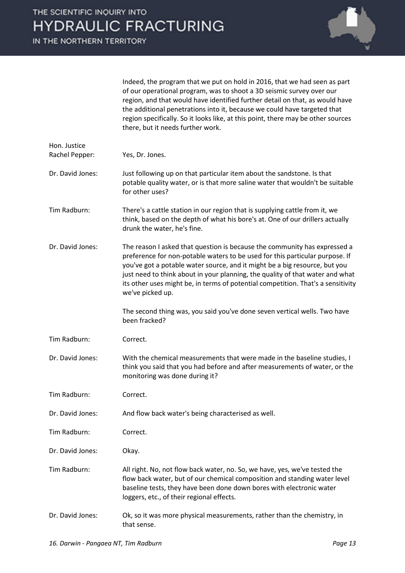

Indeed, the program that we put on hold in 2016, that we had seen as part of our operational program, was to shoot a 3D seismic survey over our region, and that would have identified further detail on that, as would have the additional penetrations into it, because we could have targeted that region specifically. So it looks like, at this point, there may be other sources there, but it needs further work.

| Hon. Justice<br>Rachel Pepper: | Yes, Dr. Jones.                                                                                                                                                                                                                                                                                                                                                                                                                  |
|--------------------------------|----------------------------------------------------------------------------------------------------------------------------------------------------------------------------------------------------------------------------------------------------------------------------------------------------------------------------------------------------------------------------------------------------------------------------------|
| Dr. David Jones:               | Just following up on that particular item about the sandstone. Is that<br>potable quality water, or is that more saline water that wouldn't be suitable<br>for other uses?                                                                                                                                                                                                                                                       |
| Tim Radburn:                   | There's a cattle station in our region that is supplying cattle from it, we<br>think, based on the depth of what his bore's at. One of our drillers actually<br>drunk the water, he's fine.                                                                                                                                                                                                                                      |
| Dr. David Jones:               | The reason I asked that question is because the community has expressed a<br>preference for non-potable waters to be used for this particular purpose. If<br>you've got a potable water source, and it might be a big resource, but you<br>just need to think about in your planning, the quality of that water and what<br>its other uses might be, in terms of potential competition. That's a sensitivity<br>we've picked up. |
|                                | The second thing was, you said you've done seven vertical wells. Two have<br>been fracked?                                                                                                                                                                                                                                                                                                                                       |
| Tim Radburn:                   | Correct.                                                                                                                                                                                                                                                                                                                                                                                                                         |
| Dr. David Jones:               | With the chemical measurements that were made in the baseline studies, I<br>think you said that you had before and after measurements of water, or the<br>monitoring was done during it?                                                                                                                                                                                                                                         |
| Tim Radburn:                   | Correct.                                                                                                                                                                                                                                                                                                                                                                                                                         |
| Dr. David Jones:               | And flow back water's being characterised as well.                                                                                                                                                                                                                                                                                                                                                                               |
| Tim Radburn:                   | Correct.                                                                                                                                                                                                                                                                                                                                                                                                                         |
| Dr. David Jones:               | Okay.                                                                                                                                                                                                                                                                                                                                                                                                                            |
| Tim Radburn:                   | All right. No, not flow back water, no. So, we have, yes, we've tested the<br>flow back water, but of our chemical composition and standing water level<br>baseline tests, they have been done down bores with electronic water<br>loggers, etc., of their regional effects.                                                                                                                                                     |
| Dr. David Jones:               | Ok, so it was more physical measurements, rather than the chemistry, in<br>that sense.                                                                                                                                                                                                                                                                                                                                           |